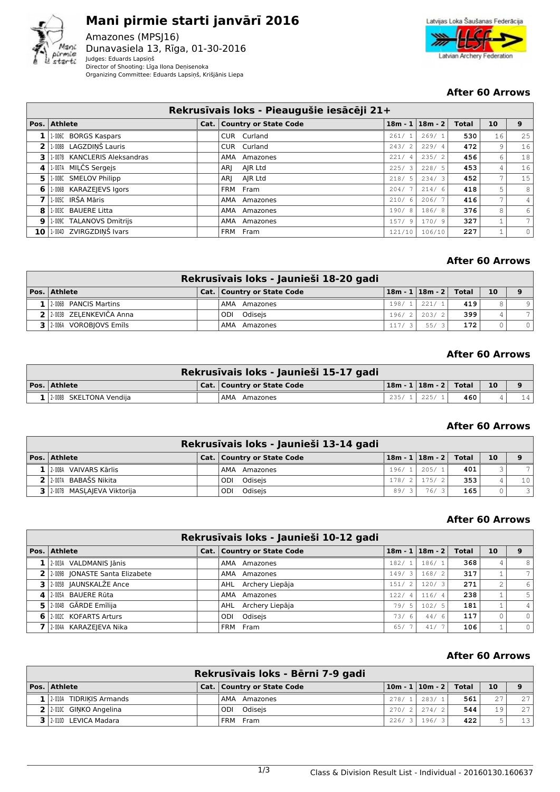

# **Mani pirmie starti janvārī 2016** Amazones (MPSJ16) Dunavasiela 13, Rīga, 01-30-2016

Judges: Eduards Lapsiņš Director of Shooting: Līga Ilona Deņisenoka Organizing Committee: Eduards Lapsiņš, Krišjānis Liepa



## **After 60 Arrows**

|                | Rekrusīvais loks - Pieaugušie iesācēji 21+ |  |                              |        |  |                       |              |                          |                |  |  |
|----------------|--------------------------------------------|--|------------------------------|--------|--|-----------------------|--------------|--------------------------|----------------|--|--|
|                | Pos. Athlete                               |  | Cat.   Country or State Code |        |  | $18m - 1$   $18m - 2$ | <b>Total</b> | 10                       | 9              |  |  |
|                | 1-006C BORGS Kaspars                       |  | CUR Curland                  | 261/   |  | 269/1                 | 530          | 16                       | 25             |  |  |
| 2 <sup>1</sup> | 1-008B LAGZDINŠ Lauris                     |  | CUR Curland                  | 243/2  |  | 229/4                 | 472          | 9                        | 16             |  |  |
| 3              | 1-007B KANCLERIS Aleksandras               |  | AMA<br>Amazones              | 221/   |  | 235/2                 | 456          | 6                        | 18             |  |  |
| 4              | 1-007A MILČS Sergejs                       |  | AJR Ltd<br>ARI               | 225/3  |  | 228/5                 | 453          | 4                        | 16             |  |  |
| 51             | 1-008C SMELOV Philipp                      |  | AJR Ltd<br>ARI               | 218/5  |  | 234/3                 | 452          | $\overline{\phantom{a}}$ | 15             |  |  |
| 6              | 1.006B KARAZEJEVS Igors                    |  | FRM Fram                     | 204/   |  | 214/6                 | 418          | 5                        | 8              |  |  |
|                | 1.005C IRŠA Māris                          |  | AMA Amazones                 | 210/6  |  | 206/7                 | 416          | 7                        | $\overline{4}$ |  |  |
| 8              | 1-003C BAUERE Litta                        |  | AMA Amazones                 | 190/8  |  | 186/8                 | 376          | 8                        | 6              |  |  |
|                | 9 1.009C TALANOVS Dmitrijs                 |  | AMA Amazones                 | 157/9  |  | 170/9                 | 327          |                          | 7              |  |  |
|                | 10 1.004D ZVIRGZDINŠ Ivars                 |  | FRM Fram                     | 121/10 |  | 106/10                | 227          |                          | $\circ$        |  |  |

# **After 60 Arrows**

|                            | Rekrusīvais loks - Jaunieši 18-20 gadi |       |                               |     |    |                |
|----------------------------|----------------------------------------|-------|-------------------------------|-----|----|----------------|
| Pos. Athlete               | <b>Cat. Country or State Code</b>      |       | $18m - 1$   $18m - 2$   Total |     | 10 | 9              |
| 2006B PANCIS Martins       | AMA Amazones                           | 198/1 | 221/1                         | 419 |    | $\circ$        |
| 2 2 2003B ZELENKEVIČA Anna | ODI Odiseis                            | 196/2 | 203/2                         | 399 |    |                |
| 2-006A VOROBIOVS Emils     | AMA Amazones                           | 117/3 | 55/3                          | 172 |    | 0 <sup>1</sup> |

## **After 60 Arrows**

|                               | <b>Rekrusīvais loks - Jaunieši 15-17 gadi</b> |                             |     |    |    |
|-------------------------------|-----------------------------------------------|-----------------------------|-----|----|----|
| Pos. Athlete                  | Cat.   Country or State Code                  | 18m - 1   18m - 2     Total |     | 10 |    |
| $1$   2-008B SKELTONA Vendija | AMA Amazones                                  | 235/1   225/1               | 460 |    | 14 |

## **After 60 Arrows**

|                             | Rekrusīvais loks - Jaunieši 13-14 gadi |       |                           |     |    |                 |
|-----------------------------|----------------------------------------|-------|---------------------------|-----|----|-----------------|
| Pos. Athlete                | Cat.   Country or State Code           |       | $18m - 1$ $18m - 2$ Total |     | 10 |                 |
| $1$   2-008A VAIVARS Kārlis | AMA Amazones                           | 196/1 | 205/1                     | 401 |    |                 |
| 2 2 2.007A BABAŠS Nikita    | ODI Odiseis                            | 178/2 | 175/2                     | 353 |    | 10 <sup>1</sup> |
| 3 2007B MASLAJEVA Viktorija | ODI Odiseis                            | 89/3  | 76/                       | 165 |    | 3               |

# **After 60 Arrows**

|    |                               | Rekrusīvais loks - Jaunieši 10-12 gadi |       |                         |                       |       |    |                |
|----|-------------------------------|----------------------------------------|-------|-------------------------|-----------------------|-------|----|----------------|
|    | Pos. Athlete                  | Cat.   Country or State Code           |       |                         | $18m - 1$   $18m - 2$ | Total | 10 |                |
|    | $1$   2-003A VALDMANIS Jānis  | AMA Amazones                           | 182/1 |                         | 186/1                 | 368   |    | 8              |
|    | 2009B JONASTE Santa Elizabete | AMA Amazones                           | 149/  | $\overline{\mathbf{3}}$ | 168/2                 | 317   |    |                |
|    | 3 2-005B JAUNSKALŽE Ance      | AHL Archery Liepāja                    | 151/  | $^{\circ}$ 2            | 120/3                 | 271   |    | 6              |
|    | 2.005A BAUERE Rūta            | AMA Amazones                           | 122/  |                         | 116/4                 | 238   |    | 5              |
| 51 | 2-004B GĀRDE Emīlija          | AHL Archery Liepāja                    | 79/ 5 |                         | 102/5                 | 181   |    | $\overline{4}$ |
| 61 | 2-002C KOFARTS Arturs         | Odisejs<br>ODI                         | 73/   | -6                      | 44/6                  | 117   |    | $\Omega$       |
|    | 2-004A KARAZEJEVA Nika        | Fram<br>FRM                            | 65/   |                         | 41/7                  | 106   |    | $\circ$        |

# **After 60 Arrows**

|                           | Rekrusīvais loks - Bērni 7-9 gadi |       |                             |                  |     |    |
|---------------------------|-----------------------------------|-------|-----------------------------|------------------|-----|----|
| <b>Pos. Athlete</b>       | Cat.   Country or State Code      |       | $10m - 1   10m - 2  $ Total |                  | 10  |    |
| 2-010A TIDRIKIS Armands   | AMA Amazones                      | 278/1 | 283/1                       | 561 <sub>1</sub> | 2.7 | 27 |
| 2 2 2 010C GINKO Angelina | ODI Odisejs                       |       | $270/2$   274/2             | 544              | 19  | 27 |
| 3 2010 LEVICA Madara      | FRM Fram                          | 226/3 | 196/3                       | 422              |     | 13 |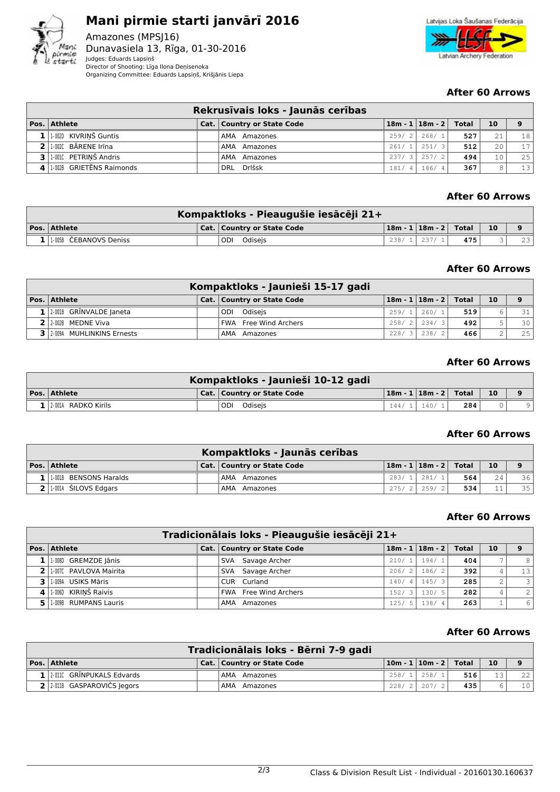



## **After 60 Arrows**

|                              | Rekrusīvais loks - Jaunās cerības |              |                               |     |                |    |
|------------------------------|-----------------------------------|--------------|-------------------------------|-----|----------------|----|
| $\vert$ Pos. $\vert$ Athlete | Cat.   Country or State Code      |              | $18m - 1$   $18m - 2$   Total |     | 10             | 9  |
| $1$ 1.002D KIVRINŠ Guntis    | AMA Amazones                      | 259/2        | 268/1                         | 527 | 21             | 18 |
| 2   1-002C BĀRENE Irīna      | AMA Amazones                      |              | $261/1$ 251/3                 | 512 | 2.0            | 17 |
| 3 1.0010 PETRINŠ Andris      | AMA Amazones                      |              | $237/3$   257/2               | 494 | 1 <sub>0</sub> | 25 |
| 4 1.002B GRIETENS Raimonds   | DRL Drlšsk                        | 181/<br>, 41 | 186/4                         | 367 |                | 13 |

## **After 60 Arrows**

| Kompaktloks - Pieaugušie iesācēji 21+ |  |                              |       |                             |     |    |    |  |  |
|---------------------------------------|--|------------------------------|-------|-----------------------------|-----|----|----|--|--|
| $ Pos. $ Athlete                      |  | Cat.   Country or State Code |       | 18m - 1   18m - 2     Total |     | 10 |    |  |  |
| 11-005B CEBANOVS Deniss               |  | Odiseis<br>ODI               | 238/1 | , 237/1'                    | 475 |    | 23 |  |  |

# **After 60 Arrows**

|                               | Kompaktloks - Jaunieši 15-17 gadi |       |                           |     |    |    |
|-------------------------------|-----------------------------------|-------|---------------------------|-----|----|----|
| $\vert$ Pos. $\vert$ Athlete  | Cat.   Country or State Code      |       | $18m - 1$ $18m - 2$ Total |     | 10 | 9  |
| $1$   2.001B GRINVALDE Janeta | Odiseis<br>ODI                    | 259/1 | 260/1                     | 519 |    | 31 |
| $2$   2-002B MEDNE Viva       | <b>FWA</b> Free Wind Archers      | 258/  | 234/<br>$\mathcal{S}$     | 492 |    | 30 |
| 3 2-009A MUHLINKINS Ernests   | AMA<br>Amazones                   | 228/  | 238/21                    | 466 |    | 25 |

#### **After 60 Arrows**

|                      | Kompaktloks - Jaunieši 10-12 gadi |                             |     |    |  |
|----------------------|-----------------------------------|-----------------------------|-----|----|--|
| Pos. Athlete         | Cat.   Country or State Code      | 18m - 1   18m - 2     Total |     | 10 |  |
| 1 2001A RADKO Kirils | ODI Odiseis                       | $144/1$ 140/1               | 284 |    |  |

#### **After 60 Arrows**

|                            | Kompaktloks - Jaunās cerības |       |                             |     |     |    |
|----------------------------|------------------------------|-------|-----------------------------|-----|-----|----|
| Pos. Athlete               | Cat.   Country or State Code |       | 18m - 1   18m - 2     Total |     | 10  |    |
| 1   1.001B BENSONS Haralds | AMA Amazones                 | 283/1 | 281/1                       | 564 | 2.4 | 36 |
| $2$   1-001A SILOVS Edgars | AMA Amazones                 | 275/2 | 259/21                      | 534 |     | 35 |

## **After 60 Arrows**

|     | Tradicionālais loks - Pieaugušie iesācēji 21+ |  |                              |                        |                         |     |                |     |  |  |  |
|-----|-----------------------------------------------|--|------------------------------|------------------------|-------------------------|-----|----------------|-----|--|--|--|
|     | Pos. Athlete                                  |  | Cat.   Country or State Code |                        | $18m - 1$ 18m - 2 Total |     | 10             | 9   |  |  |  |
|     | 1.008D GREMZDE Jānis                          |  | SVA Savage Archer            | 210/1                  | 194/1                   | 404 |                | 8   |  |  |  |
|     | 2 1.007C PAVLOVA Mairita                      |  | SVA Savage Archer            | 206/2                  | 186/2                   | 392 |                | 13  |  |  |  |
|     | 3 1.009A USIKS Māris                          |  | CUR Curland                  | 140/<br>4 <sup>1</sup> | 145/3                   | 285 | $\overline{c}$ | 3   |  |  |  |
|     | 4 1.006D KIRINŠ Raivis                        |  | <b>FWA</b> Free Wind Archers | 3 <sup>1</sup><br>152/ | 130/5                   | 282 |                | 2.1 |  |  |  |
| 5 I | 1.009B RUMPANS Lauris                         |  | AMA Amazones                 | - 5<br>125/            | 138/4                   | 263 |                | 6'  |  |  |  |

#### **After 60 Arrows**

| Tradicionālais loks - Bērni 7-9 gadi |                                 |  |                              |  |                               |     |                 |                 |  |  |
|--------------------------------------|---------------------------------|--|------------------------------|--|-------------------------------|-----|-----------------|-----------------|--|--|
|                                      | Pos. Athlete                    |  | Cat.   Country or State Code |  | $10m - 1$   $10m - 2$   Total |     | <b>10</b>       |                 |  |  |
|                                      | $1$   2.0110 GRINPUKALS Edvards |  | <b>AMA Amazones</b>          |  | $258/1$ 258/1                 | 516 | 13 <sub>1</sub> | 22              |  |  |
|                                      | 2 2 2 011B GASPAROVIČS Jegors   |  | AMA Amazones                 |  | $228/2$ 207/2                 | 435 |                 | 10 <sup>1</sup> |  |  |